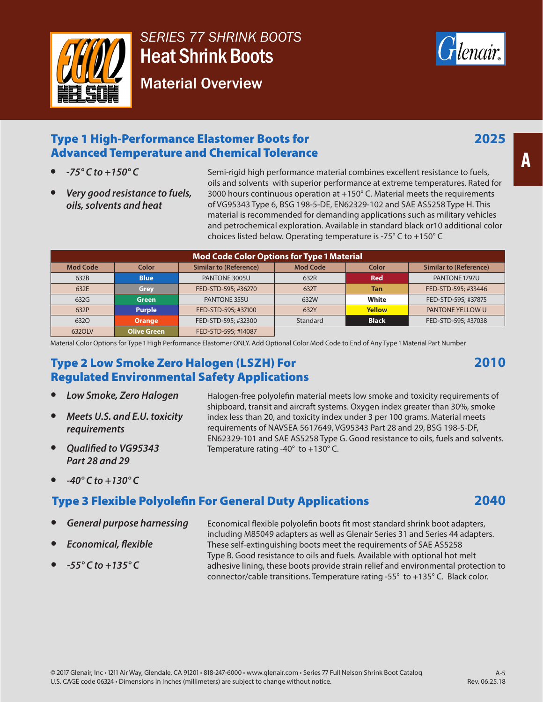

# *SERIES 77 SHRINK BOOTS*  Heat Shrink Boots

Material Overview



#### Type 1 High-Performance Elastomer Boots for Advanced Temperature and Chemical Tolerance

- *-75° C to +150° C*
- *Very good resistance to fuels, oils, solvents and heat*

Semi-rigid high performance material combines excellent resistance to fuels, oils and solvents with superior performance at extreme temperatures. Rated for 3000 hours continuous operation at +150° C. Material meets the requirements of VG95343 Type 6, BSG 198-5-DE, EN62329-102 and SAE AS5258 Type H. This material is recommended for demanding applications such as military vehicles and petrochemical exploration. Available in standard black or10 additional color choices listed below. Operating temperature is -75° C to +150° C

| <b>Mod Code Color Options for Type 1 Material</b> |                    |                               |                 |               |                               |
|---------------------------------------------------|--------------------|-------------------------------|-----------------|---------------|-------------------------------|
| <b>Mod Code</b>                                   | Color              | <b>Similar to (Reference)</b> | <b>Mod Code</b> | Color         | <b>Similar to (Reference)</b> |
| 632B                                              | <b>Blue</b>        | PANTONE 3005U                 | 632R            | <b>Red</b>    | PANTONE 1797U                 |
| 632E                                              | Grey               | FED-STD-595; #36270           | 632T            | <b>Tan</b>    | FED-STD-595; #33446           |
| 632G                                              | <b>Green</b>       | PANTONE 355U                  | 632W            | White         | FED-STD-595: #37875           |
| 632P                                              | <b>Purple</b>      | FED-STD-595: #37100           | 632Y            | <b>Yellow</b> | PANTONE YELLOW U              |
| 6320                                              | <b>Orange</b>      | FED-STD-595: #32300           | Standard        | <b>Black</b>  | FED-STD-595: #37038           |
| 6320LV                                            | <b>Olive Green</b> | FED-STD-595: #14087           |                 |               |                               |

Material Color Options for Type 1 High Performance Elastomer ONLY. Add Optional Color Mod Code to End of Any Type 1 Material Part Number

#### Type 2 Low Smoke Zero Halogen (LSZH) For Regulated Environmental Safety Applications

- *Low Smoke, Zero Halogen*
- *Meets U.S. and E.U. toxicity requirements*
- *Qualified to VG95343 Part 28 and 29*
- *-40° C to +130° C*

#### Type 3 Flexible Polyolefin For General Duty Applications

- *General purpose harnessing*
- *Economical, flexible*
- *-55° C to +135° C*

index less than 20, and toxicity index under 3 per 100 grams. Material meets requirements of NAVSEA 5617649, VG95343 Part 28 and 29, BSG 198-5-DF, EN62329-101 and SAE AS5258 Type G. Good resistance to oils, fuels and solvents. Temperature rating -40° to +130° C.

Halogen-free polyolefin material meets low smoke and toxicity requirements of shipboard, transit and aircraft systems. Oxygen index greater than 30%, smoke

Economical flexible polyolefin boots fit most standard shrink boot adapters, including M85049 adapters as well as Glenair Series 31 and Series 44 adapters. These self-extinguishing boots meet the requirements of SAE AS5258 Type B. Good resistance to oils and fuels. Available with optional hot melt adhesive lining, these boots provide strain relief and environmental protection to connector/cable transitions. Temperature rating -55° to +135° C. Black color.

**2010**

**2040**

**A**